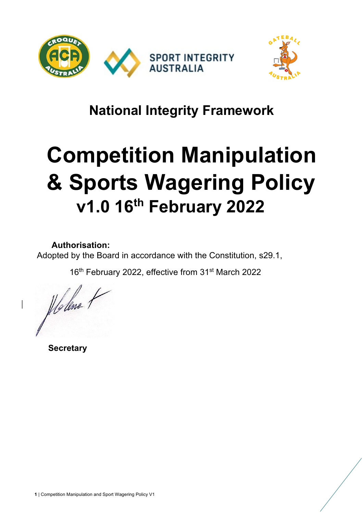

# **National Integrity Framework**

# **Competition Manipulation & Sports Wagering Policy v1.0 16th February 2022**

**Authorisation:** 

Adopted by the Board in accordance with the Constitution, s29.1,

16<sup>th</sup> February 2022, effective from 31<sup>st</sup> March 2022

Holene

 **Secretary**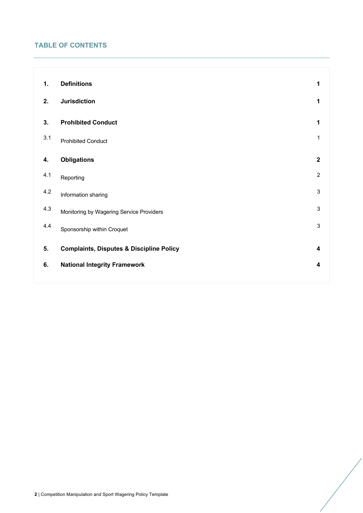# **TABLE OF CONTENTS**

| 1.  | <b>Definitions</b>                                  | 1                       |
|-----|-----------------------------------------------------|-------------------------|
| 2.  | <b>Jurisdiction</b>                                 | 1                       |
| 3.  | <b>Prohibited Conduct</b>                           | 1                       |
| 3.1 | <b>Prohibited Conduct</b>                           | 1                       |
| 4.  | <b>Obligations</b>                                  | $\overline{2}$          |
| 4.1 | Reporting                                           | $\overline{2}$          |
| 4.2 | Information sharing                                 | 3                       |
| 4.3 | Monitoring by Wagering Service Providers            | 3                       |
| 4.4 | Sponsorship within Croquet                          | 3                       |
| 5.  | <b>Complaints, Disputes &amp; Discipline Policy</b> | $\overline{\mathbf{4}}$ |
| 6.  | <b>National Integrity Framework</b>                 | 4                       |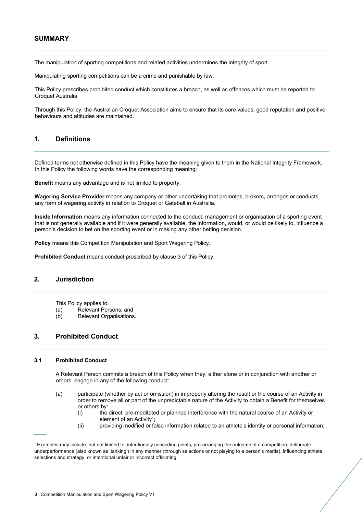### **SUMMARY**

The manipulation of sporting competitions and related activities undermines the integrity of sport.

Manipulating sporting competitions can be a crime and punishable by law.

This Policy prescribes prohibited conduct which constitutes a breach, as well as offences which must be reported to Croquet Australia

Through this Policy, the Australian Croquet Association aims to ensure that its core values, good reputation and positive behaviours and attitudes are maintained.

### **1. Definitions**

Defined terms not otherwise defined in this Policy have the meaning given to them in the National Integrity Framework. In this Policy the following words have the corresponding meaning:

**Benefit** means any advantage and is not limited to property.

**Wagering Service Provider** means any company or other undertaking that promotes, brokers, arranges or conducts any form of wagering activity in relation to Croquet or Gateball in Australia.

**Inside Information** means any information connected to the conduct, management or organisation of a sporting event that is not generally available and if it were generally available, the information, would, or would be likely to, influence a person's decision to bet on the sporting event or in making any other betting decision.

**Policy** means this Competition Manipulation and Sport Wagering Policy.

**Prohibited Conduct** means conduct proscribed by clause 3 of this Policy.

#### **2. Jurisdiction**

This Policy applies to:

- (a) Relevant Persons; and
- (b) Relevant Organisations.

### **3. Prohibited Conduct**

#### **3.1 Prohibited Conduct**

 $\overline{\phantom{a}}$ 

A Relevant Person commits a breach of this Policy when they, either alone or in conjunction with another or others, engage in any of the following conduct:

- (a) participate (whether by act or omission) in improperly altering the result or the course of an Activity in order to remove all or part of the unpredictable nature of the Activity to obtain a Benefit for themselves or others by:
	- (i) the direct, pre-meditated or planned interference with the natural course of an Activity or element of an Activity<sup>1</sup>:
	- (ii) providing modified or false information related to an athlete's identity or personal information;

<sup>1</sup> Examples may include, but not limited to, intentionally conceding points, pre-arranging the outcome of a competition, deliberate underperformance (also known as 'tanking') in any manner (through selections or not playing to a person's merits), influencing athlete selections and strategy, or intentional unfair or incorrect officiating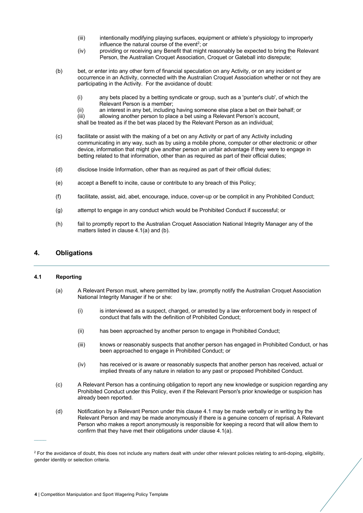- (iii) intentionally modifying playing surfaces, equipment or athlete's physiology to improperly influence the natural course of the event<sup>2</sup>; or
- (iv) providing or receiving any Benefit that might reasonably be expected to bring the Relevant Person, the Australian Croquet Association, Croquet or Gateball into disrepute;
- (b) bet, or enter into any other form of financial speculation on any Activity, or on any incident or occurrence in an Activity, connected with the Australian Croquet Association whether or not they are participating in the Activity. For the avoidance of doubt:
	- (i) any bets placed by a betting syndicate or group, such as a 'punter's club', of which the Relevant Person is a member;
	- (ii) an interest in any bet, including having someone else place a bet on their behalf; or

(iii) allowing another person to place a bet using a Relevant Person's account, shall be treated as if the bet was placed by the Relevant Person as an individual;

- (c) facilitate or assist with the making of a bet on any Activity or part of any Activity including communicating in any way, such as by using a mobile phone, computer or other electronic or other device, information that might give another person an unfair advantage if they were to engage in betting related to that information, other than as required as part of their official duties;
- (d) disclose Inside Information, other than as required as part of their official duties;
- (e) accept a Benefit to incite, cause or contribute to any breach of this Policy;
- (f) facilitate, assist, aid, abet, encourage, induce, cover-up or be complicit in any Prohibited Conduct;
- (g) attempt to engage in any conduct which would be Prohibited Conduct if successful; or
- (h) fail to promptly report to the Australian Croquet Association National Integrity Manager any of the matters listed in clause 4.1(a) and (b).

## **4. Obligations**

#### **4.1 Reporting**

 $\overline{\phantom{a}}$ 

- (a) A Relevant Person must, where permitted by law, promptly notify the Australian Croquet Association National Integrity Manager if he or she:
	- (i) is interviewed as a suspect, charged, or arrested by a law enforcement body in respect of conduct that falls with the definition of Prohibited Conduct;
	- (ii) has been approached by another person to engage in Prohibited Conduct;
	- (iii) knows or reasonably suspects that another person has engaged in Prohibited Conduct, or has been approached to engage in Prohibited Conduct; or
	- (iv) has received or is aware or reasonably suspects that another person has received, actual or implied threats of any nature in relation to any past or proposed Prohibited Conduct.
- (c) A Relevant Person has a continuing obligation to report any new knowledge or suspicion regarding any Prohibited Conduct under this Policy, even if the Relevant Person's prior knowledge or suspicion has already been reported.
- (d) Notification by a Relevant Person under this clause 4.1 may be made verbally or in writing by the Relevant Person and may be made anonymously if there is a genuine concern of reprisal. A Relevant Person who makes a report anonymously is responsible for keeping a record that will allow them to confirm that they have met their obligations under clause 4.1(a).

 $2$  For the avoidance of doubt, this does not include any matters dealt with under other relevant policies relating to anti-doping, eligibility, gender identity or selection criteria.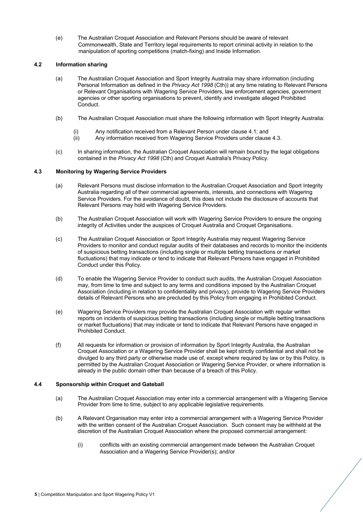(e) The Australian Croquet Association and Relevant Persons should be aware of relevant Commonwealth, State and Territory legal requirements to report criminal activity in relation to the manipulation of sporting competitions (match-fixing) and Inside Information.

#### **4.2 Information sharing**

- (a) The Australian Croquet Association and Sport Integrity Australia may share information (including Personal Information as defined in the *Privacy Act 1998* (Cth)) at any time relating to Relevant Persons or Relevant Organisations with Wagering Service Providers, law enforcement agencies, government agencies or other sporting organisations to prevent, identify and investigate alleged Prohibited Conduct.
- (b) The Australian Croquet Association must share the following information with Sport Integrity Australia:
	- (i) Any notification received from a Relevant Person under clause 4.1; and
	- (ii) Any information received from Wagering Service Providers under clause 4.3.
- (c) In sharing information, the Australian Croquet Association will remain bound by the legal obligations contained in the *Privacy Act 1998* (Cth) and Croquet Australia's Privacy Policy.

#### **4.3 Monitoring by Wagering Service Providers**

- (a) Relevant Persons must disclose information to the Australian Croquet Association and Sport Integrity Australia regarding all of their commercial agreements, interests, and connections with Wagering Service Providers. For the avoidance of doubt, this does not include the disclosure of accounts that Relevant Persons may hold with Wagering Service Providers.
- (b) The Australian Croquet Association will work with Wagering Service Providers to ensure the ongoing integrity of Activities under the auspices of Croquet Australia and Croquet Organisations.
- (c) The Australian Croquet Association or Sport Integrity Australia may request Wagering Service Providers to monitor and conduct regular audits of their databases and records to monitor the incidents of suspicious betting transactions (including single or multiple betting transactions or market fluctuations) that may indicate or tend to indicate that Relevant Persons have engaged in Prohibited Conduct under this Policy.
- (d) To enable the Wagering Service Provider to conduct such audits, the Australian Croquet Association may, from time to time and subject to any terms and conditions imposed by the Australian Croquet Association (including in relation to confidentiality and privacy), provide to Wagering Service Providers details of Relevant Persons who are precluded by this Policy from engaging in Prohibited Conduct.
- (e) Wagering Service Providers may provide the Australian Croquet Association with regular written reports on incidents of suspicious betting transactions (including single or multiple betting transactions or market fluctuations) that may indicate or tend to indicate that Relevant Persons have engaged in Prohibited Conduct.
- (f) All requests for information or provision of information by Sport Integrity Australia, the Australian Croquet Association or a Wagering Service Provider shall be kept strictly confidential and shall not be divulged to any third party or otherwise made use of, except where required by law or by this Policy, is permitted by the Australian Croquet Association or Wagering Service Provider, or where information is already in the public domain other than because of a breach of this Policy.

#### **4.4 Sponsorship within Croquet and Gateball**

- (a) The Australian Croquet Association may enter into a commercial arrangement with a Wagering Service Provider from time to time, subject to any applicable legislative requirements.
- (b) A Relevant Organisation may enter into a commercial arrangement with a Wagering Service Provider with the written consent of the Australian Croquet Association. Such consent may be withheld at the discretion of the Australian Croquet Association where the proposed commercial arrangement:
	- (i) conflicts with an existing commercial arrangement made between the Australian Croquet Association and a Wagering Service Provider(s); and/or